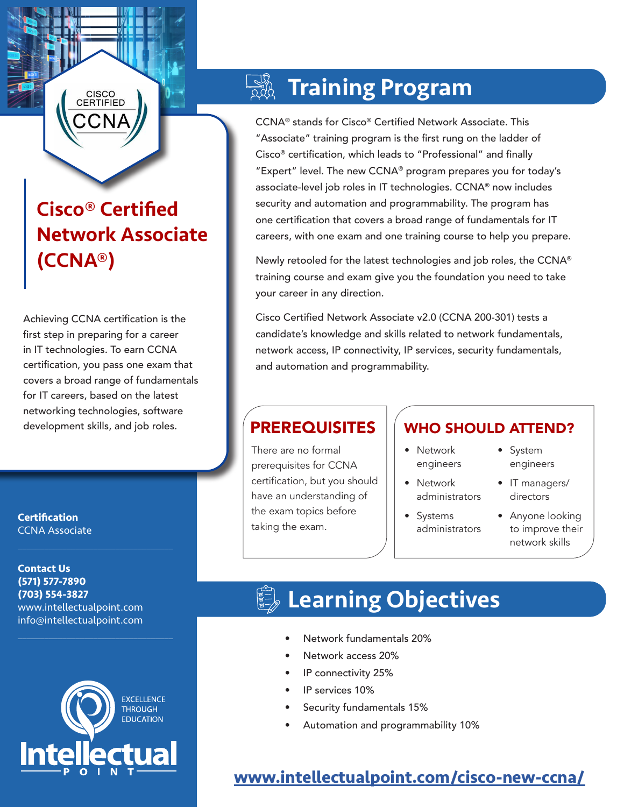## Cisco® Certified Network Associate (CCNA®)

CISCO<br>CERTIFIED

Achieving CCNA certification is the first step in preparing for a career in IT technologies. To earn CCNA certification, you pass one exam that covers a broad range of fundamentals for IT careers, based on the latest networking technologies, software development skills, and job roles.

**Certification** CCNA Associate

**Contact Us (571) 577-7890 (703) 554-3827** www.intellectualpoint.com info@intellectualpoint.com

 $\mathcal{L}_\text{max}$  and  $\mathcal{L}_\text{max}$  and  $\mathcal{L}_\text{max}$  and  $\mathcal{L}_\text{max}$ 

 $\mathcal{L}_\text{max}$  and  $\mathcal{L}_\text{max}$  and  $\mathcal{L}_\text{max}$  and  $\mathcal{L}_\text{max}$ 



## Training Program

CCNA® stands for Cisco® Certified Network Associate. This "Associate" training program is the first rung on the ladder of Cisco® certification, which leads to "Professional" and finally "Expert" level. The new CCNA® program prepares you for today's associate-level job roles in IT technologies. CCNA® now includes security and automation and programmability. The program has one certification that covers a broad range of fundamentals for IT careers, with one exam and one training course to help you prepare.

Newly retooled for the latest technologies and job roles, the CCNA® training course and exam give you the foundation you need to take your career in any direction.

Cisco Certified Network Associate v2.0 (CCNA 200-301) tests a candidate's knowledge and skills related to network fundamentals, network access, IP connectivity, IP services, security fundamentals, and automation and programmability.

There are no formal prerequisites for CCNA certification, but you should have an understanding of the exam topics before taking the exam.

### **PREREQUISITES II WHO SHOULD ATTEND?**

- Network engineers
- Network administrators
- Systems administrators
- System engineers
- IT managers/ directors
- Anyone looking to improve their network skills

# **■ Learning Objectives**

- Network fundamentals 20%
- Network access 20%
- IP connectivity 25%
- IP services 10%
- Security fundamentals 15%
- Automation and programmability 10%

### **[www.intellectualpoint.com/]( https://www.intellectualpoint.com/product/cisco-new-ccna/)cisco-new-ccna/**